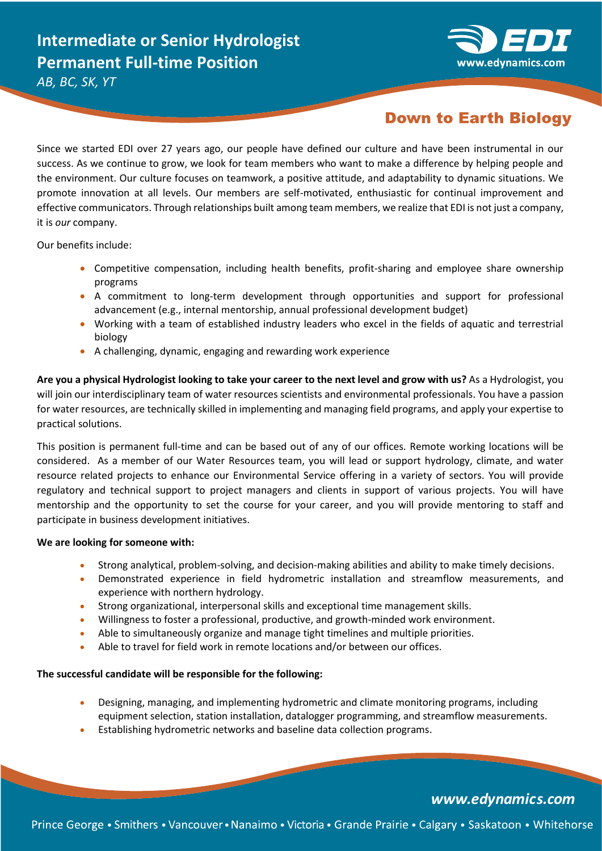

*AB, BC, SK, YT*

## **Down to Earth Biology**

Since we started EDI over 27 years ago, our people have defined our culture and have been instrumental in our success. As we continue to grow, we look for team members who want to make a difference by helping people and the environment. Our culture focuses on teamwork, a positive attitude, and adaptability to dynamic situations. We promote innovation at all levels. Our members are self-motivated, enthusiastic for continual improvement and effective communicators. Through relationships built among team members, we realize that EDI is not just a company, it is *our* company.

Our benefits include:

- Competitive compensation, including health benefits, profit-sharing and employee share ownership programs
- A commitment to long-term development through opportunities and support for professional advancement (e.g., internal mentorship, annual professional development budget)
- Working with a team of established industry leaders who excel in the fields of aquatic and terrestrial biology
- A challenging, dynamic, engaging and rewarding work experience

**Are you a physical Hydrologist looking to take your career to the next level and grow with us?** As a Hydrologist, you will join our interdisciplinary team of water resources scientists and environmental professionals. You have a passion for water resources, are technically skilled in implementing and managing field programs, and apply your expertise to practical solutions.

This position is permanent full-time and can be based out of any of our offices. Remote working locations will be considered. As a member of our Water Resources team, you will lead or support hydrology, climate, and water resource related projects to enhance our Environmental Service offering in a variety of sectors. You will provide regulatory and technical support to project managers and clients in support of various projects. You will have mentorship and the opportunity to set the course for your career, and you will provide mentoring to staff and participate in business development initiatives.

### **We are looking for someone with:**

- Strong analytical, problem-solving, and decision-making abilities and ability to make timely decisions.
- Demonstrated experience in field hydrometric installation and streamflow measurements, and experience with northern hydrology.
- Strong organizational, interpersonal skills and exceptional time management skills.
- Willingness to foster a professional, productive, and growth-minded work environment.
- Able to simultaneously organize and manage tight timelines and multiple priorities.
- Able to travel for field work in remote locations and/or between our offices.

#### **The successful candidate will be responsible for the following:**

- Designing, managing, and implementing hydrometric and climate monitoring programs, including equipment selection, station installation, datalogger programming, and streamflow measurements.
- Establishing hydrometric networks and baseline data collection programs.

### www.edynamics.com

Prince George • Smithers • Vancouver • Nanaimo • Victoria • Grande Prairie • Calgary • Saskatoon • Whitehorse